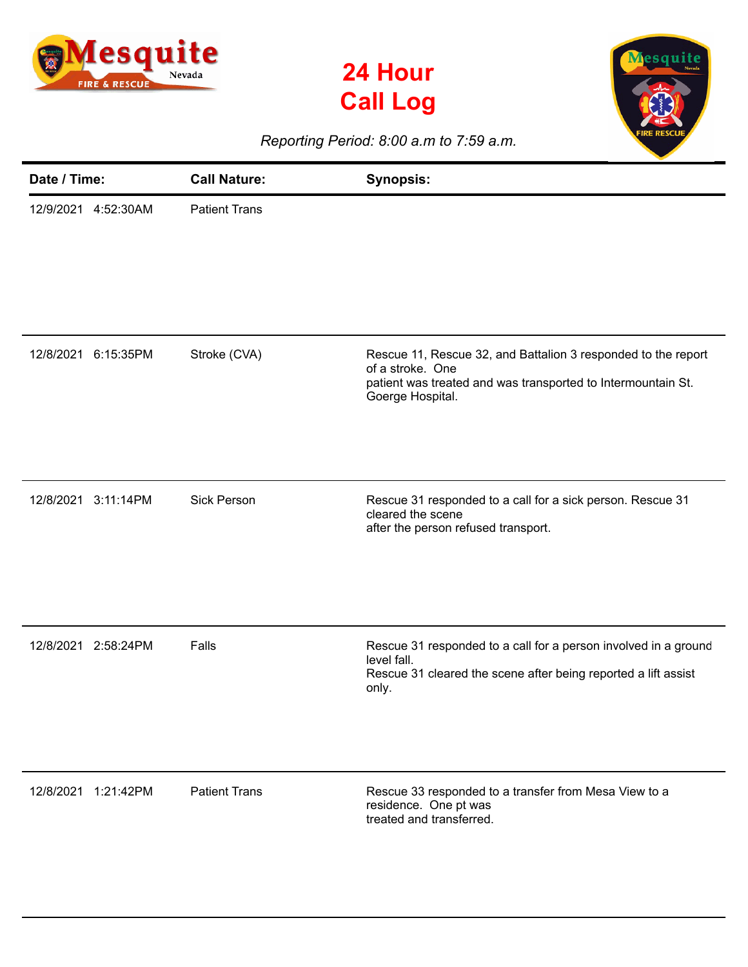





*Reporting Period: 8:00 a.m to 7:59 a.m.*

| Date / Time: |           | <b>Call Nature:</b>  | <b>Synopsis:</b>                                                                                                                                                      |
|--------------|-----------|----------------------|-----------------------------------------------------------------------------------------------------------------------------------------------------------------------|
| 12/9/2021    | 4:52:30AM | <b>Patient Trans</b> |                                                                                                                                                                       |
| 12/8/2021    | 6:15:35PM | Stroke (CVA)         | Rescue 11, Rescue 32, and Battalion 3 responded to the report<br>of a stroke. One<br>patient was treated and was transported to Intermountain St.<br>Goerge Hospital. |
| 12/8/2021    | 3:11:14PM | <b>Sick Person</b>   | Rescue 31 responded to a call for a sick person. Rescue 31<br>cleared the scene<br>after the person refused transport.                                                |
| 12/8/2021    | 2:58:24PM | Falls                | Rescue 31 responded to a call for a person involved in a ground<br>level fall.<br>Rescue 31 cleared the scene after being reported a lift assist<br>only.             |
| 12/8/2021    | 1:21:42PM | <b>Patient Trans</b> | Rescue 33 responded to a transfer from Mesa View to a<br>residence. One pt was<br>treated and transferred.                                                            |